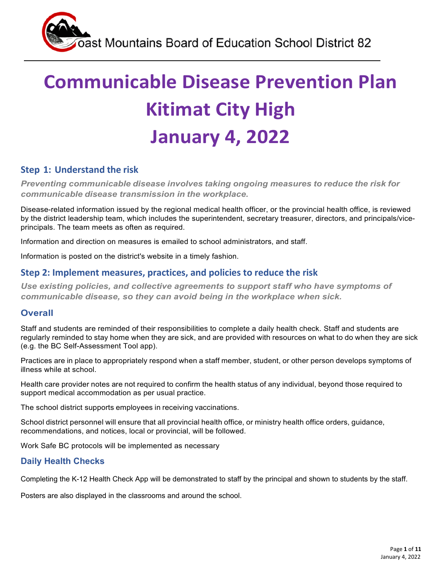# **Communicable Disease Prevention Plan Kitimat City High January 4, 2022**

### **Step 1: Understand the risk**

*Preventing communicable disease involves taking ongoing measures to reduce the risk for communicable disease transmission in the workplace.*

Disease-related information issued by the regional medical health officer, or the provincial health office, is reviewed by the district leadership team, which includes the superintendent, secretary treasurer, directors, and principals/viceprincipals. The team meets as often as required.

Information and direction on measures is emailed to school administrators, and staff.

Information is posted on the district's website in a timely fashion.

#### **Step 2: Implement measures, practices, and policies to reduce the risk**

*Use existing policies, and collective agreements to support staff who have symptoms of communicable disease, so they can avoid being in the workplace when sick.*

#### **Overall**

Staff and students are reminded of their responsibilities to complete a daily health check. Staff and students are regularly reminded to stay home when they are sick, and are provided with resources on what to do when they are sick (e.g. the BC Self-Assessment Tool app).

Practices are in place to appropriately respond when a staff member, student, or other person develops symptoms of illness while at school.

Health care provider notes are not required to confirm the health status of any individual, beyond those required to support medical accommodation as per usual practice.

The school district supports employees in receiving vaccinations.

School district personnel will ensure that all provincial health office, or ministry health office orders, guidance, recommendations, and notices, local or provincial, will be followed.

Work Safe BC protocols will be implemented as necessary

#### **Daily Health Checks**

Completing the K-12 Health Check App will be demonstrated to staff by the principal and shown to students by the staff.

Posters are also displayed in the classrooms and around the school.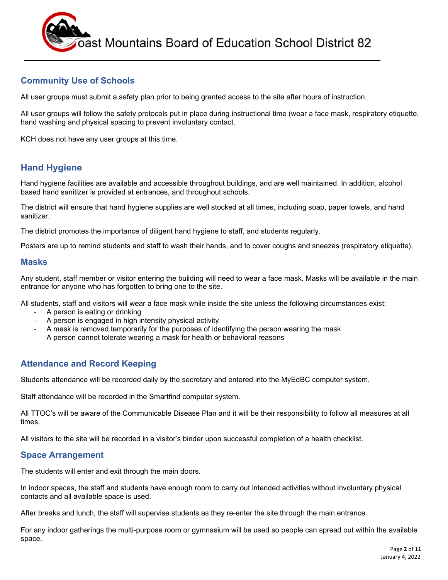

#### **Community Use of Schools**

All user groups must submit a safety plan prior to being granted access to the site after hours of instruction.

All user groups will follow the safety protocols put in place during instructional time (wear a face mask, respiratory etiquette, hand washing and physical spacing to prevent involuntary contact.

KCH does not have any user groups at this time.

#### **Hand Hygiene**

Hand hygiene facilities are available and accessible throughout buildings, and are well maintained. In addition, alcohol based hand sanitizer is provided at entrances, and throughout schools.

The district will ensure that hand hygiene supplies are well stocked at all times, including soap, paper towels, and hand sanitizer.

The district promotes the importance of diligent hand hygiene to staff, and students regularly.

Posters are up to remind students and staff to wash their hands, and to cover coughs and sneezes (respiratory etiquette).

#### **Masks**

Any student, staff member or visitor entering the building will need to wear a face mask. Masks will be available in the main entrance for anyone who has forgotten to bring one to the site.

All students, staff and visitors will wear a face mask while inside the site unless the following circumstances exist:

- A person is eating or drinking
- A person is engaged in high intensity physical activity
- A mask is removed temporarily for the purposes of identifying the person wearing the mask
- A person cannot tolerate wearing a mask for health or behavioral reasons

#### **Attendance and Record Keeping**

Students attendance will be recorded daily by the secretary and entered into the MyEdBC computer system.

Staff attendance will be recorded in the Smartfind computer system.

All TTOC's will be aware of the Communicable Disease Plan and it will be their responsibility to follow all measures at all times.

All visitors to the site will be recorded in a visitor's binder upon successful completion of a health checklist.

#### **Space Arrangement**

The students will enter and exit through the main doors.

In indoor spaces, the staff and students have enough room to carry out intended activities without involuntary physical contacts and all available space is used.

After breaks and lunch, the staff will supervise students as they re-enter the site through the main entrance.

For any indoor gatherings the multi-purpose room or gymnasium will be used so people can spread out within the available space.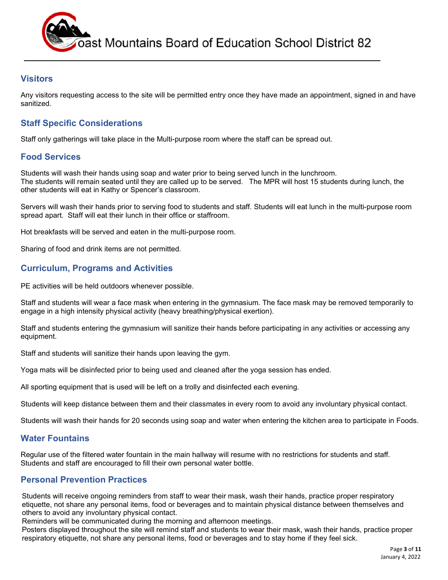

#### **Visitors**

Any visitors requesting access to the site will be permitted entry once they have made an appointment, signed in and have sanitized.

#### **Staff Specific Considerations**

Staff only gatherings will take place in the Multi-purpose room where the staff can be spread out.

#### **Food Services**

Students will wash their hands using soap and water prior to being served lunch in the lunchroom. The students will remain seated until they are called up to be served. The MPR will host 15 students during lunch, the other students will eat in Kathy or Spencer's classroom.

Servers will wash their hands prior to serving food to students and staff. Students will eat lunch in the multi-purpose room spread apart. Staff will eat their lunch in their office or staffroom.

Hot breakfasts will be served and eaten in the multi-purpose room.

Sharing of food and drink items are not permitted.

#### **Curriculum, Programs and Activities**

PE activities will be held outdoors whenever possible.

Staff and students will wear a face mask when entering in the gymnasium. The face mask may be removed temporarily to engage in a high intensity physical activity (heavy breathing/physical exertion).

Staff and students entering the gymnasium will sanitize their hands before participating in any activities or accessing any equipment.

Staff and students will sanitize their hands upon leaving the gym.

Yoga mats will be disinfected prior to being used and cleaned after the yoga session has ended.

All sporting equipment that is used will be left on a trolly and disinfected each evening.

Students will keep distance between them and their classmates in every room to avoid any involuntary physical contact.

Students will wash their hands for 20 seconds using soap and water when entering the kitchen area to participate in Foods.

#### **Water Fountains**

Regular use of the filtered water fountain in the main hallway will resume with no restrictions for students and staff. Students and staff are encouraged to fill their own personal water bottle.

#### **Personal Prevention Practices**

Students will receive ongoing reminders from staff to wear their mask, wash their hands, practice proper respiratory etiquette, not share any personal items, food or beverages and to maintain physical distance between themselves and others to avoid any involuntary physical contact.

Reminders will be communicated during the morning and afternoon meetings.

Posters displayed throughout the site will remind staff and students to wear their mask, wash their hands, practice proper respiratory etiquette, not share any personal items, food or beverages and to stay home if they feel sick.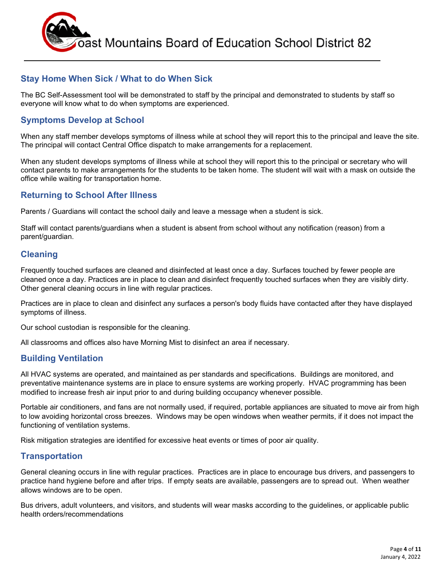

#### **Stay Home When Sick / What to do When Sick**

The BC Self-Assessment tool will be demonstrated to staff by the principal and demonstrated to students by staff so everyone will know what to do when symptoms are experienced.

#### **Symptoms Develop at School**

When any staff member develops symptoms of illness while at school they will report this to the principal and leave the site. The principal will contact Central Office dispatch to make arrangements for a replacement.

When any student develops symptoms of illness while at school they will report this to the principal or secretary who will contact parents to make arrangements for the students to be taken home. The student will wait with a mask on outside the office while waiting for transportation home.

#### **Returning to School After Illness**

Parents / Guardians will contact the school daily and leave a message when a student is sick.

Staff will contact parents/guardians when a student is absent from school without any notification (reason) from a parent/guardian.

#### **Cleaning**

Frequently touched surfaces are cleaned and disinfected at least once a day. Surfaces touched by fewer people are cleaned once a day. Practices are in place to clean and disinfect frequently touched surfaces when they are visibly dirty. Other general cleaning occurs in line with regular practices.

Practices are in place to clean and disinfect any surfaces a person's body fluids have contacted after they have displayed symptoms of illness.

Our school custodian is responsible for the cleaning.

All classrooms and offices also have Morning Mist to disinfect an area if necessary.

#### **Building Ventilation**

All HVAC systems are operated, and maintained as per standards and specifications. Buildings are monitored, and preventative maintenance systems are in place to ensure systems are working properly. HVAC programming has been modified to increase fresh air input prior to and during building occupancy whenever possible.

Portable air conditioners, and fans are not normally used, if required, portable appliances are situated to move air from high to low avoiding horizontal cross breezes. Windows may be open windows when weather permits, if it does not impact the functioning of ventilation systems.

Risk mitigation strategies are identified for excessive heat events or times of poor air quality.

#### **Transportation**

General cleaning occurs in line with regular practices. Practices are in place to encourage bus drivers, and passengers to practice hand hygiene before and after trips. If empty seats are available, passengers are to spread out. When weather allows windows are to be open.

Bus drivers, adult volunteers, and visitors, and students will wear masks according to the guidelines, or applicable public health orders/recommendations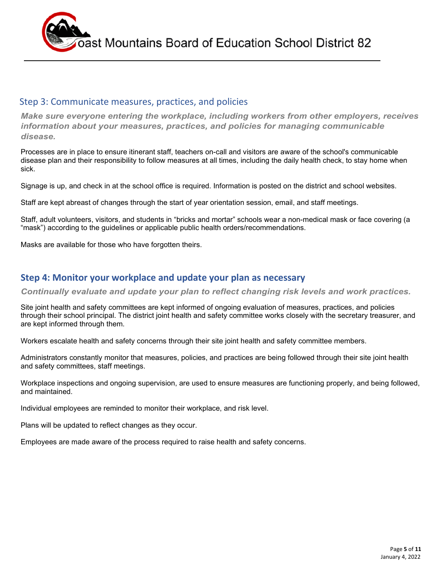

#### Step 3: Communicate measures, practices, and policies

*Make sure everyone entering the workplace, including workers from other employers, receives information about your measures, practices, and policies for managing communicable disease.*

Processes are in place to ensure itinerant staff, teachers on-call and visitors are aware of the school's communicable disease plan and their responsibility to follow measures at all times, including the daily health check, to stay home when sick.

Signage is up, and check in at the school office is required. Information is posted on the district and school websites.

Staff are kept abreast of changes through the start of year orientation session, email, and staff meetings.

Staff, adult volunteers, visitors, and students in "bricks and mortar" schools wear a non-medical mask or face covering (a "mask") according to the guidelines or applicable public health orders/recommendations.

Masks are available for those who have forgotten theirs.

#### **Step 4: Monitor your workplace and update your plan as necessary**

*Continually evaluate and update your plan to reflect changing risk levels and work practices.*

Site joint health and safety committees are kept informed of ongoing evaluation of measures, practices, and policies through their school principal. The district joint health and safety committee works closely with the secretary treasurer, and are kept informed through them.

Workers escalate health and safety concerns through their site joint health and safety committee members.

Administrators constantly monitor that measures, policies, and practices are being followed through their site joint health and safety committees, staff meetings.

Workplace inspections and ongoing supervision, are used to ensure measures are functioning properly, and being followed, and maintained.

Individual employees are reminded to monitor their workplace, and risk level.

Plans will be updated to reflect changes as they occur.

Employees are made aware of the process required to raise health and safety concerns.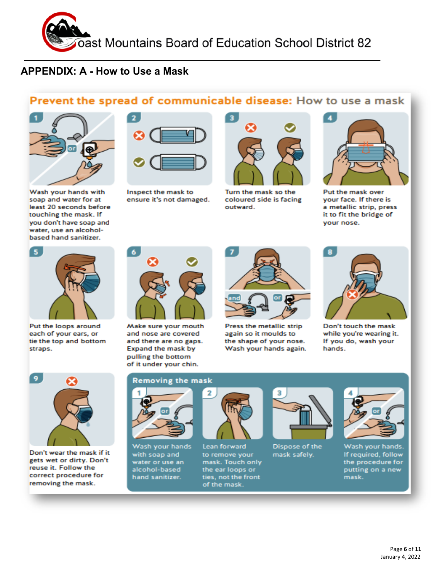

# **APPENDIX: A - How to Use a Mask**

## Prevent the spread of communicable disease: How to use a mask



Wash your hands with soap and water for at least 20 seconds before touching the mask. If you don't have soap and water, use an alcoholbased hand sanitizer.



Inspect the mask to ensure it's not damaged.



Turn the mask so the coloured side is facing outward.



Put the mask over vour face. If there is a metallic strip, press it to fit the bridge of your nose.



Put the loops around each of your ears, or tie the top and bottom straps.



Make sure your mouth and nose are covered and there are no gaps. Expand the mask by pulling the bottom of it under your chin.

# or

Press the metallic strip again so it moulds to the shape of your nose. Wash your hands again.



Don't touch the mask while you're wearing it. If you do, wash your hands.



Don't wear the mask if it gets wet or dirty. Don't reuse it. Follow the correct procedure for removing the mask.

#### **Removing the mask**



Wash your hands with soap and water or use an alcohol-based hand sanitizer.



Lean forward to remove your mask. Touch only the ear loops or ties, not the front of the mask.



Dispose of the mask safely.



Wash your hands. If required, follow the procedure for putting on a new mask.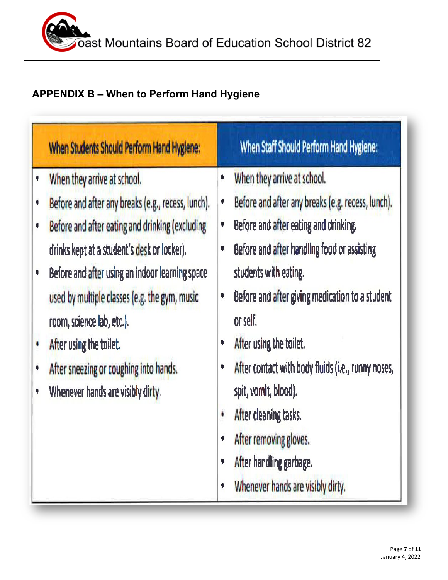# **APPENDIX B – When to Perform Hand Hygiene**

| When Students Should Perform Hand Hygiene:                                                                                                                                                                                                                                                                                                                                                                                                                      | When Staff Should Perform Hand Hygiene:                                                                                                                                                                                                                                                                                                                                                                                                                                                                                                             |
|-----------------------------------------------------------------------------------------------------------------------------------------------------------------------------------------------------------------------------------------------------------------------------------------------------------------------------------------------------------------------------------------------------------------------------------------------------------------|-----------------------------------------------------------------------------------------------------------------------------------------------------------------------------------------------------------------------------------------------------------------------------------------------------------------------------------------------------------------------------------------------------------------------------------------------------------------------------------------------------------------------------------------------------|
| When they arrive at school.<br>Before and after any breaks (e.g., recess, lunch).<br>¢<br>Before and after eating and drinking (excluding<br>ą<br>drinks kept at a student's desk or locker).<br>Before and after using an indoor learning space<br>ų<br>used by multiple classes (e.g. the gym, music<br>room, science lab, etc.).<br>After using the toilet.<br>After sneezing or coughing into hands.<br>$\bullet$<br>Whenever hands are visibly dirty.<br>۰ | When they arrive at school.<br>٠<br>Before and after any breaks (e.g. recess, lunch).<br>¢<br>Before and after eating and drinking.<br>۷<br>Before and after handling food or assisting<br>O<br>students with eating.<br>Before and after giving medication to a student<br>V<br>or self.<br>After using the toilet.<br>۱<br>After contact with body fluids (i.e., runny noses,<br>۱<br>spit, vomit, blood).<br>After cleaning tasks.<br>٠<br>After removing gloves.<br>¢<br>After handling garbage.<br>۱<br>Whenever hands are visibly dirty.<br>¢ |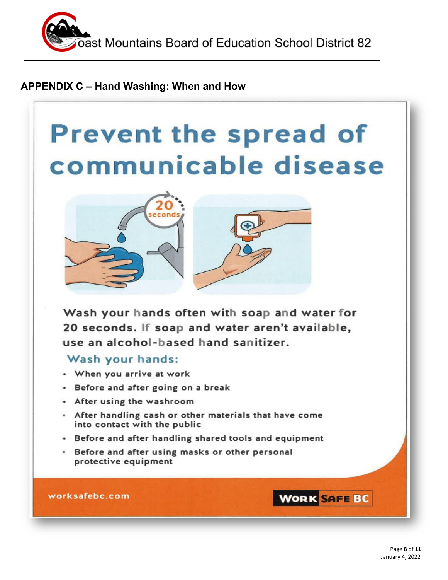

## **APPENDIX C – Hand Washing: When and How**

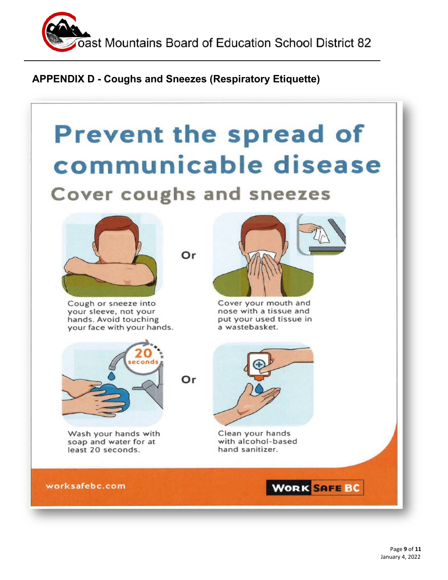

# **APPENDIX D - Coughs and Sneezes (Respiratory Etiquette)**

# **Prevent the spread of** communicable disease Cover coughs and sneezes



Cough or sneeze into your sleeve, not your hands. Avoid touching your face with your hands.



Wash your hands with soap and water for at least 20 seconds.

Or

Or



Cover your mouth and nose with a tissue and put your used tissue in a wastebasket.



Clean your hands with alcohol-based hand sanitizer.

worksafebc.com

**WORK SAFE BC**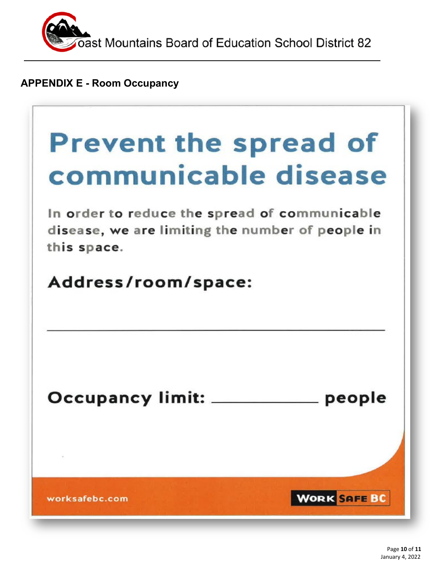

**APPENDIX E - Room Occupancy**